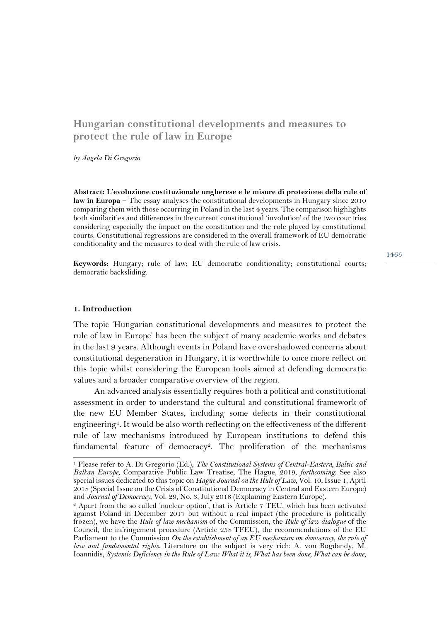# **Hungarian constitutional developments and measures to protect the rule of law in Europe**

*by Angela Di Gregorio*

**Abstract: L'evoluzione costituzionale ungherese e le misure di protezione della rule of law in Europa –** The essay analyses the constitutional developments in Hungary since 2010 comparing them with those occurring in Poland in the last 4 years. The comparison highlights both similarities and differences in the current constitutional 'involution' of the two countries considering especially the impact on the constitution and the role played by constitutional courts. Constitutional regressions are considered in the overall framework of EU democratic conditionality and the measures to deal with the rule of law crisis.

**Keywords:** Hungary; rule of law; EU democratic conditionality; constitutional courts; democratic backsliding.

#### **1. Introduction**

 $\overline{a}$ 

The topic 'Hungarian constitutional developments and measures to protect the rule of law in Europe' has been the subject of many academic works and debates in the last 9 years. Although events in Poland have overshadowed concerns about constitutional degeneration in Hungary, it is worthwhile to once more reflect on this topic whilst considering the European tools aimed at defending democratic values and a broader comparative overview of the region.

An advanced analysis essentially requires both a political and constitutional assessment in order to understand the cultural and constitutional framework of the new EU Member States, including some defects in their constitutional engineering1. It would be also worth reflecting on the effectiveness of the different rule of law mechanisms introduced by European institutions to defend this fundamental feature of democracy<sup>2</sup>. The proliferation of the mechanisms

<sup>1</sup> Please refer to A. Di Gregorio (Ed.), *The Constitutional Systems of Central-Eastern, Baltic and Balkan Europe*, Comparative Public Law Treatise, The Hague, 2019, *forthcoming*. See also special issues dedicated to this topic on *Hague Journal on the Rule of Law*, Vol. 10, Issue 1, April 2018 (Special Issue on the Crisis of Constitutional Democracy in Central and Eastern Europe) and Journal of Democracy, Vol. 29, No. 3, July 2018 (Explaining Eastern Europe).

<sup>&</sup>lt;sup>2</sup> Apart from the so called 'nuclear option', that is Article 7 TEU, which has been activated against Poland in December 2017 but without a real impact (the procedure is politically frozen), we have the *Rule of law mechanism* of the Commission, the *Rule of law dialogue* of the Council, the infringement procedure (Article 258 TFEU), the recommendations of the EU Parliament to the Commission *On the establishment of an EU mechanism on democracy, the rule of law and fundamental rights*. Literature on the subject is very rich: A. von Bogdandy, M. Ioannidis, *Systemic Deficiency in the Rule of Law: What it is, What has been done, What can be done*,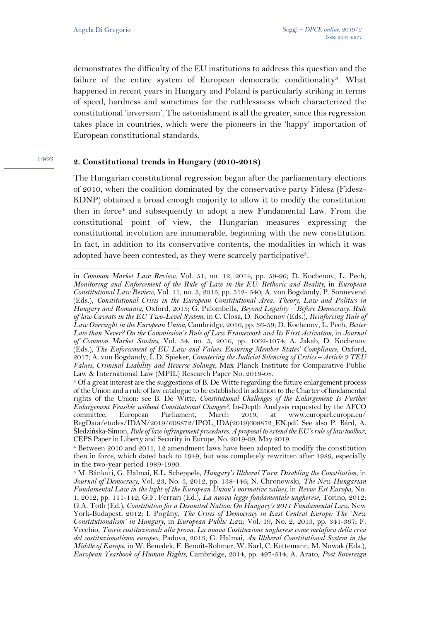demonstrates the difficulty of the EU institutions to address this question and the failure of the entire system of European democratic conditionality3. What happened in recent years in Hungary and Poland is particularly striking in terms of speed, hardness and sometimes for the ruthlessness which characterized the constitutional 'inversion'. The astonishment is all the greater, since this regression takes place in countries, which were the pioneers in the 'happy' importation of European constitutional standards.

#### 1466 **2. Constitutional trends in Hungary (2010-2018)**

The Hungarian constitutional regression began after the parliamentary elections of 2010, when the coalition dominated by the conservative party Fidesz (Fidesz-KDNP) obtained a broad enough majority to allow it to modify the constitution then in force<sup>4</sup> and subsequently to adopt a new Fundamental Law. From the constitutional point of view, the Hungarian measures expressing the constitutional involution are innumerable, beginning with the new constitution. In fact, in addition to its conservative contents, the modalities in which it was adopted have been contested, as they were scarcely participative<sup>5</sup>.

 $\overline{a}$ in *Common Market Law Review*, Vol. 51, no. 12, 2014, pp. 59-96; D. Kochenov, L. Pech, *Monitoring and Enforcement of the Rule of Law in the EU: Rethoric and Reality*, in *European Constitutional Law Review*, Vol. 11, no. 3, 2015, pp. 512- 540; A. von Bogdandy, P. Sonnevend (Eds.), *Constitutional Crisis in the European Constitutional Area. Theory, Law and Politics in Hungary and Romania*, Oxford, 2015; G. Palombella, *Beyond Legality – Before Democracy. Rule of law Caveats in the EU Two-Level System*, in C. Closa, D. Kochenov (Eds.), *Reinforcing Rule of Law Oversight in the European Union,* Cambridge, 2016, pp. 36-59; D. Kochenov, L. Pech, *Better Late than Never? On the Commission's Rule of Law Framework and Its First Activation*, in *Journal of Common Market Studies*, Vol. 54, no. 5, 2016, pp. 1062-1074; A. Jakab, D. Kochenov (Eds.), *The Enforcement of EU Law and Values. Ensuring Member States' Compliance*, Oxford, 2017; A. von Bogdandy, L.D. Spieker, *Countering the Judicial Silencing of Critics – Article 2 TEU Values, Criminal Liability and Reverse Solange*, Max Planck Institute for Comparative Public

Law & International Law (MPIL) Research Paper No. 2019-08.<br><sup>3</sup> Of a great interest are the suggestions of B. De Witte regarding the future enlargement process of the Union and a rule of law catalogue to be established in addition to the Charter of fundamental rights of the Union: see B. De Witte, *Constitutional Challenges of the Enlargement: Is Further Enlargement Feasible without Constitutional Changes?,* In-Depth Analysis requested by the AFCO European Parliament, March 2019, at www.europarl.europa.eu/ RegData/etudes/IDAN/2019/608872/IPOL\_IDA(2019)608872\_EN.pdf. See also P. Bárd, A. Śledzińska-Simon, *Rule of law infringement procedures. A proposal to extend the EU's rule of law toolbox*, CEPS Paper in Liberty and Security in Europe, No. 2019-09, May 2019. 4 Between 2010 and 2011, 12 amendment laws have been adopted to modify the constitution

then in force, which dated back to 1949, but was completely rewritten after 1989, especially in the two-year period 1989-1990.

<sup>5</sup> M. Bánkuti, G. Halmai, K.L. Scheppele, *Hungary's Illiberal Turn: Disabling the Constitution*, in *Journal of Democracy*, Vol. 23, No. 3, 2012, pp. 138-146; N. Chronowski, *The New Hungarian Fundamental Law in the light of the European Union's normative values*, in *Revue Est Europa,* No. 1, 2012, pp. 111-142; G.F. Ferrari (Ed.), *La nuova legge fondamentale ungherese*, Torino, 2012; G.A. Toth (Ed.), *Constitution for a Disunited Nation: On Hungary's 2011 Fundamental Law*, New York-Budapest, 2012; I. Pogány, *The Crisis of Democracy in East Central Europe: The 'New Constitutionalism' in Hungary*, in *European Public Law*, Vol. 19, No. 2, 2013, pp. 341-367; F. Vecchio, *Teorie costituzionali alla prova. La nuova Costituzione ungherese come metafora della crisi del costituzionalismo europeo*, Padova, 2013; G. Halmai, *An Illiberal Constitutional System in the Middle of Europe*, in W. Benedek, F. Benoît-Rohmer, W. Karl, C. Kettemann, M. Nowak (Eds.), *European Yearbook of Human Rights*, Cambridge, 2014, pp. 497-514; A. Arato, *Post Sovereign*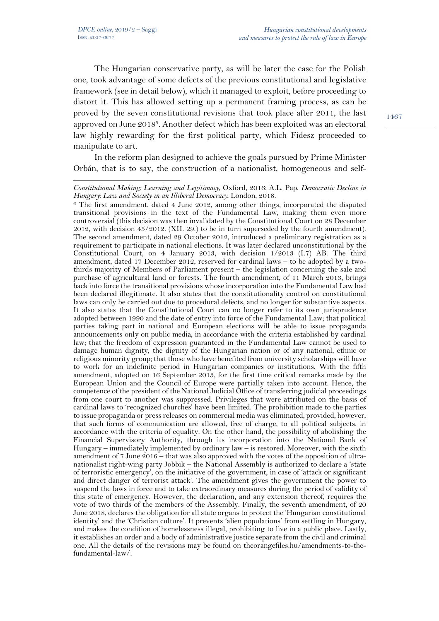$\overline{a}$ 

The Hungarian conservative party, as will be later the case for the Polish one, took advantage of some defects of the previous constitutional and legislative framework (see in detail below), which it managed to exploit, before proceeding to distort it. This has allowed setting up a permanent framing process, as can be proved by the seven constitutional revisions that took place after 2011, the last approved on June 20186. Another defect which has been exploited was an electoral law highly rewarding for the first political party, which Fidesz proceeded to manipulate to art.

In the reform plan designed to achieve the goals pursued by Prime Minister Orbán, that is to say, the construction of a nationalist, homogeneous and self-

*Constitutional Making: Learning and Legitimacy*, Oxford, 2016; A.L. Pap, *Democratic Decline in Hungary: Law and Society in an Illiberal Democracy*, London, 2018.<br><sup>6</sup> The first amendment, dated 4 June 2012, among other things, incorporated the disputed

transitional provisions in the text of the Fundamental Law, making them even more controversial (this decision was then invalidated by the Constitutional Court on 28 December 2012, with decision 45/2012. (XII. 29.) to be in turn superseded by the fourth amendment). The second amendment, dated 29 October 2012, introduced a preliminary registration as a requirement to participate in national elections. It was later declared unconstitutional by the Constitutional Court, on 4 January 2013, with decision 1/2013 (I.7) AB. The third amendment, dated 17 December 2012, reserved for cardinal laws - to be adopted by a twothirds majority of Members of Parliament present – the legislation concerning the sale and purchase of agricultural land or forests. The fourth amendment, of 11 March 2013, brings back into force the transitional provisions whose incorporation into the Fundamental Law had been declared illegitimate. It also states that the constitutionality control on constitutional laws can only be carried out due to procedural defects, and no longer for substantive aspects. It also states that the Constitutional Court can no longer refer to its own jurisprudence adopted between 1990 and the date of entry into force of the Fundamental Law; that political parties taking part in national and European elections will be able to issue propaganda announcements only on public media, in accordance with the criteria established by cardinal law; that the freedom of expression guaranteed in the Fundamental Law cannot be used to damage human dignity, the dignity of the Hungarian nation or of any national, ethnic or religious minority group; that those who have benefited from university scholarships will have to work for an indefinite period in Hungarian companies or institutions. With the fifth amendment, adopted on 16 September 2013, for the first time critical remarks made by the European Union and the Council of Europe were partially taken into account. Hence, the competence of the president of the National Judicial Office of transferring judicial proceedings from one court to another was suppressed. Privileges that were attributed on the basis of cardinal laws to 'recognized churches' have been limited. The prohibition made to the parties to issue propaganda or press releases on commercial media was eliminated, provided, however, that such forms of communication are allowed, free of charge, to all political subjects, in accordance with the criteria of equality. On the other hand, the possibility of abolishing the Financial Supervisory Authority, through its incorporation into the National Bank of Hungary – immediately implemented by ordinary law – is restored. Moreover, with the sixth amendment of 7 June 2016 – that was also approved with the votes of the opposition of ultranationalist right-wing party Jobbik – the National Assembly is authorized to declare a 'state of terroristic emergency', on the initiative of the government, in case of 'attack or significant and direct danger of terrorist attack'. The amendment gives the government the power to suspend the laws in force and to take extraordinary measures during the period of validity of this state of emergency. However, the declaration, and any extension thereof, requires the vote of two thirds of the members of the Assembly. Finally, the seventh amendment, of 20 June 2018, declares the obligation for all state organs to protect the 'Hungarian constitutional identity' and the 'Christian culture'. It prevents 'alien populations' from settling in Hungary, and makes the condition of homelessness illegal, prohibiting to live in a public place. Lastly, it establishes an order and a body of administrative justice separate from the civil and criminal one. All the details of the revisions may be found on theorangefiles.hu/amendments-to-thefundamental-law/.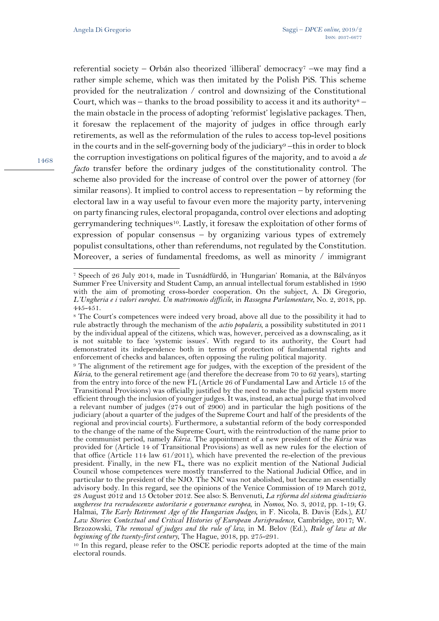referential society – Orbán also theorized 'illiberal' democracy<sup>7</sup> –we may find a rather simple scheme, which was then imitated by the Polish PiS. This scheme provided for the neutralization / control and downsizing of the Constitutional Court, which was – thanks to the broad possibility to access it and its authority<sup>8</sup> – the main obstacle in the process of adopting 'reformist' legislative packages. Then, it foresaw the replacement of the majority of judges in office through early retirements, as well as the reformulation of the rules to access top-level positions in the courts and in the self-governing body of the judiciary<sup>9</sup> –this in order to block the corruption investigations on political figures of the majority, and to avoid a *de facto* transfer before the ordinary judges of the constitutionality control. The scheme also provided for the increase of control over the power of attorney (for similar reasons). It implied to control access to representation – by reforming the electoral law in a way useful to favour even more the majority party, intervening on party financing rules, electoral propaganda, control over elections and adopting gerrymandering techniques<sup>10</sup>. Lastly, it foresaw the exploitation of other forms of expression of popular consensus – by organizing various types of extremely populist consultations, other than referendums, not regulated by the Constitution. Moreover, a series of fundamental freedoms, as well as minority  $\ell$  immigrant

l

<sup>7</sup> Speech of 26 July 2014, made in Tusnádfürdő, in 'Hungarian' Romania, at the Bálványos Summer Free University and Student Camp, an annual intellectual forum established in 1990 with the aim of promoting cross-border cooperation. On the subject, A. Di Gregorio, *L'Ungheria e i valori europei. Un matrimonio difficile*, in *Rassegna Parlamentare*, No. 2, 2018, pp. 445-451.

<sup>8</sup> The Court's competences were indeed very broad, above all due to the possibility it had to rule abstractly through the mechanism of the *actio popularis*, a possibility substituted in 2011 by the individual appeal of the citizens, which was, however, perceived as a downscaling, as it is not suitable to face 'systemic issues'. With regard to its authority, the Court had demonstrated its independence both in terms of protection of fundamental rights and enforcement of checks and balances, often opposing the ruling political majority.

<sup>9</sup> The alignment of the retirement age for judges, with the exception of the president of the *Kúria*, to the general retirement age (and therefore the decrease from 70 to 62 years), starting from the entry into force of the new FL (Article 26 of Fundamental Law and Article 15 of the Transitional Provisions) was officially justified by the need to make the judicial system more efficient through the inclusion of younger judges. It was, instead, an actual purge that involved a relevant number of judges (274 out of 2900) and in particular the high positions of the judiciary (about a quarter of the judges of the Supreme Court and half of the presidents of the regional and provincial courts). Furthermore, a substantial reform of the body corresponded to the change of the name of the Supreme Court, with the reintroduction of the name prior to the communist period, namely *Kúria*. The appointment of a new president of the *Kúria* was provided for (Article 14 of Transitional Provisions) as well as new rules for the election of that office (Article 114 law  $61/2011$ ), which have prevented the re-election of the previous president. Finally, in the new FL, there was no explicit mention of the National Judicial Council whose competences were mostly transferred to the National Judicial Office, and in particular to the president of the NJO. The NJC was not abolished, but became an essentially advisory body. In this regard, see the opinions of the Venice Commission of 19 March 2012, 28 August 2012 and 15 October 2012. See also: S. Benvenuti, *La riforma del sistema giudiziario ungherese tra recrudescenze autoritarie e governance europea*, in *Nomos*, No. 3, 2012, pp. 1-19; G. Halmai, *The Early Retirement Age of the Hungarian Judges*, in F. Nicola, B. Davis (Eds.), *EU Law Stories: Contextual and Critical Histories of European Jurisprudence*, Cambridge*,* 2017; W. Brzozowski, *The removal of judges and the rule of law,* in M. Belov (Ed.), *Rule of law at the beginning of the twenty-first century*, The Hague, 2018, pp. 275-291.

<sup>10</sup> In this regard, please refer to the OSCE periodic reports adopted at the time of the main electoral rounds.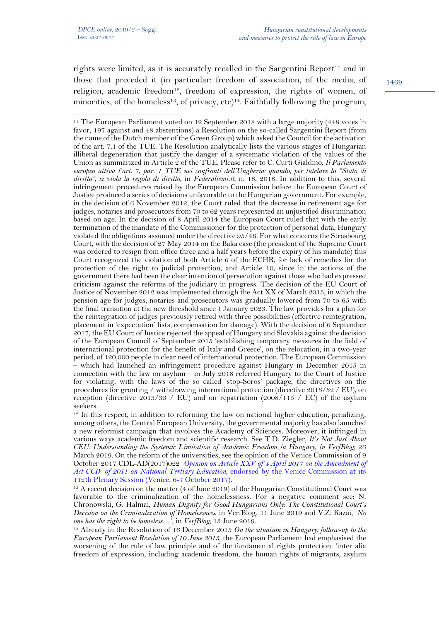rights were limited, as it is accurately recalled in the Sargentini Report<sup>11</sup> and in those that preceded it (in particular: freedom of association, of the media, of religion, academic freedom<sup>12</sup>, freedom of expression, the rights of women, of minorities, of the homeless<sup>13</sup>, of privacy, etc)<sup>14</sup>. Faithfully following the program,

<sup>12</sup> In this respect, in addition to reforming the law on national higher education, penalizing, among others, the Central European University, the governmental majority has also launched a new reformist campaign that involves the Academy of Sciences. Moreover, it infringed in various ways academic freedom and scientific research. See T.D. Ziegler, *It's Not Just About CEU: Understanding the Systemic Limitation of Academic Freedom in Hungary, in VerfBlog,* 26 March 2019. On the reform of the universities, see the opinion of the Venice Commission of 9 October 2017 CDL-AD(2017)022 *Opinion on Article XXV of 4 April 2017 on the Amendment of Act CCIV of 2011 on National Tertiary Education*, endorsed by the Venice Commission at its 112th Plenary Session (Venice, 6-7 October 2017)*.*

<sup>13</sup> A recent decision on the matter (4 of June 2019) of the Hungarian Constitutional Court was favorable to the criminalization of the homelessness. For a negative comment see: N. Chronowski, G. Halmai, *Human Dignity for Good Hungarians Only: The Constitutional Court's Decision on the Criminalization of Homelessness*, in VerfBlog, 11 June 2019 and V.Z. Kazai, '*No one has the right to be homeless*…*'*, in *VerfBlog,* 13 June 2019.

<sup>14</sup> Already in the Resolution of 16 December 2015 *On the situation in Hungary: follow-up to the European Parliament Resolution of 10 June 2015,* the European Parliament had emphasised the worsening of the rule of law principle and of the fundamental rights protection: 'inter alia freedom of expression, including academic freedom, the human rights of migrants, asylum

 $\overline{a}$ <sup>11</sup> The European Parliament voted on 12 September 2018 with a large majority (448 votes in favor, 197 against and 48 abstentions) a Resolution on the so-called Sargentini Report (from the name of the Dutch member of the Green Group) which asked the Council for the activation of the art. 7.1 of the TUE. The Resolution analytically lists the various stages of Hungarian illiberal degeneration that justify the danger of a systematic violation of the values of the Union as summarized in Article 2 of the TUE. Please refer to C. Curti Gialdino, *Il Parlamento europeo attiva l'art. 7, par. 1 TUE nei confronti dell'Ungheria: quando, per tutelare lo "Stato di diritto", si viola la regola di diritto*, in *Federalismi.it*, n. 18, 2018. In addition to this, several infringement procedures raised by the European Commission before the European Court of Justice produced a series of decisions unfavorable to the Hungarian government. For example, in the decision of 6 November 2012, the Court ruled that the decrease in retirement age for judges, notaries and prosecutors from 70 to 62 years represented an unjustified discrimination based on age. In the decision of 8 April 2014 the European Court ruled that with the early termination of the mandate of the Commissioner for the protection of personal data, Hungary violated the obligations assumed under the directive 95/46. For what concerns the Strasbourg Court, with the decision of 27 May 2014 on the Baka case (the president of the Supreme Court was ordered to resign from office three and a half years before the expiry of his mandate) this Court recognized the violation of both Article 6 of the ECHR, for lack of remedies for the protection of the right to judicial protection, and Article 10, since in the actions of the government there had been the clear intention of persecution against those who had expressed criticism against the reforms of the judiciary in progress. The decision of the EU Court of Justice of November 2012 was implemented through the Act XX of March 2013, in which the pension age for judges, notaries and prosecutors was gradually lowered from 70 to 65 with the final transition at the new threshold since 1 January 2023. The law provides for a plan for the reintegration of judges previously retired with three possibilities (effective reintegration, placement in 'expectation' lists, compensation for damage). With the decision of 6 September 2017, the EU Court of Justice rejected the appeal of Hungary and Slovakia against the decision of the European Council of September 2015 'establishing temporary measures in the field of international protection for the benefit of Italy and Greece', on the relocation, in a two-year period, of 120,000 people in clear need of international protection. The European Commission – which had launched an infringement procedure against Hungary in December 2015 in connection with the law on asylum – in July 2018 referred Hungary to the Court of Justice for violating, with the laws of the so called 'stop-Soros' package, the directives on the procedures for granting / withdrawing international protection (directive 2013/32 / EU), on reception (directive 2013/33 / EU) and on repatriation (2008/115 / EC) of the asylum seekers.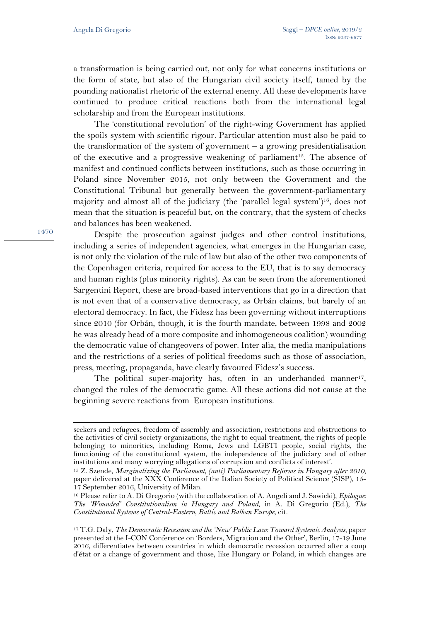a transformation is being carried out, not only for what concerns institutions or the form of state, but also of the Hungarian civil society itself, tamed by the pounding nationalist rhetoric of the external enemy. All these developments have continued to produce critical reactions both from the international legal scholarship and from the European institutions.

The 'constitutional revolution' of the right-wing Government has applied the spoils system with scientific rigour. Particular attention must also be paid to the transformation of the system of government  $-$  a growing presidentialisation of the executive and a progressive weakening of parliament<sup>15</sup>. The absence of manifest and continued conflicts between institutions, such as those occurring in Poland since November 2015, not only between the Government and the Constitutional Tribunal but generally between the government-parliamentary majority and almost all of the judiciary (the 'parallel legal system')16, does not mean that the situation is peaceful but, on the contrary, that the system of checks and balances has been weakened.

Despite the prosecution against judges and other control institutions, including a series of independent agencies, what emerges in the Hungarian case, is not only the violation of the rule of law but also of the other two components of the Copenhagen criteria, required for access to the EU, that is to say democracy and human rights (plus minority rights). As can be seen from the aforementioned Sargentini Report, these are broad-based interventions that go in a direction that is not even that of a conservative democracy, as Orbán claims, but barely of an electoral democracy. In fact, the Fidesz has been governing without interruptions since 2010 (for Orbán, though, it is the fourth mandate, between 1998 and 2002 he was already head of a more composite and inhomogeneous coalition) wounding the democratic value of changeovers of power. Inter alia, the media manipulations and the restrictions of a series of political freedoms such as those of association, press, meeting, propaganda, have clearly favoured Fidesz's success.

The political super-majority has, often in an underhanded manner<sup>17</sup>, changed the rules of the democratic game. All these actions did not cause at the beginning severe reactions from European institutions.

1470

seekers and refugees, freedom of assembly and association, restrictions and obstructions to the activities of civil society organizations, the right to equal treatment, the rights of people belonging to minorities, including Roma, Jews and LGBTI people, social rights, the functioning of the constitutional system, the independence of the judiciary and of other institutions and many worrying allegations of corruption and conflicts of interest'.

<sup>&</sup>lt;sup>15</sup> Z. Szende, *Marginalizing the Parliament*, (anti) Parliamentary Reforms in Hungary after 2010, paper delivered at the XXX Conference of the Italian Society of Political Science (SISP), 15- 17 September 2016, University of Milan.

<sup>16</sup> Please refer to A. Di Gregorio (with the collaboration of A. Angeli and J. Sawicki), *Epilogue: The 'Wounded' Constitutionalism in Hungary and Poland*, in A. Di Gregorio (Ed.), *The Constitutional Systems of Central-Eastern, Baltic and Balkan Europe*, cit*.* 

<sup>17</sup> T.G. Daly, *The Democratic Recession and the 'New' Public Law: Toward Systemic Analysis*, paper presented at the I-CON Conference on 'Borders, Migration and the Other', Berlin, 17-19 June 2016, differentiates between countries in which democratic recession occurred after a coup d'état or a change of government and those, like Hungary or Poland, in which changes are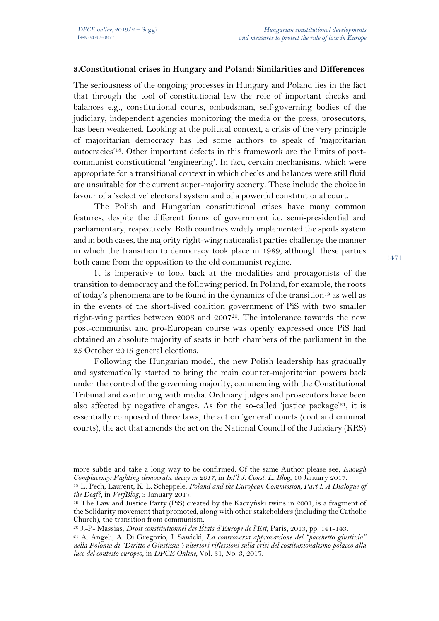l

# **3.Constitutional crises in Hungary and Poland: Similarities and Differences**

The seriousness of the ongoing processes in Hungary and Poland lies in the fact that through the tool of constitutional law the role of important checks and balances e.g., constitutional courts, ombudsman, self-governing bodies of the judiciary, independent agencies monitoring the media or the press, prosecutors, has been weakened. Looking at the political context, a crisis of the very principle of majoritarian democracy has led some authors to speak of 'majoritarian autocracies'18. Other important defects in this framework are the limits of postcommunist constitutional 'engineering'. In fact, certain mechanisms, which were appropriate for a transitional context in which checks and balances were still fluid are unsuitable for the current super-majority scenery. These include the choice in favour of a 'selective' electoral system and of a powerful constitutional court.

The Polish and Hungarian constitutional crises have many common features, despite the different forms of government i.e. semi-presidential and parliamentary, respectively. Both countries widely implemented the spoils system and in both cases, the majority right-wing nationalist parties challenge the manner in which the transition to democracy took place in 1989, although these parties both came from the opposition to the old communist regime.

It is imperative to look back at the modalities and protagonists of the transition to democracy and the following period. In Poland, for example, the roots of today's phenomena are to be found in the dynamics of the transition<sup>19</sup> as well as in the events of the short-lived coalition government of PiS with two smaller right-wing parties between 2006 and 2007<sup>20</sup>. The intolerance towards the new post-communist and pro-European course was openly expressed once PiS had obtained an absolute majority of seats in both chambers of the parliament in the 25 October 2015 general elections.

Following the Hungarian model, the new Polish leadership has gradually and systematically started to bring the main counter-majoritarian powers back under the control of the governing majority, commencing with the Constitutional Tribunal and continuing with media. Ordinary judges and prosecutors have been also affected by negative changes. As for the so-called 'justice package'<sup>21</sup>, it is essentially composed of three laws, the act on 'general' courts (civil and criminal courts), the act that amends the act on the National Council of the Judiciary (KRS)

more subtle and take a long way to be confirmed. Of the same Author please see, *Enough Complacency: Fighting democratic decay in 2017*, in *Int'l J. Const. L. Blog*, 10 January 2017.

<sup>18</sup> L. Pech, Laurent, K. L. Scheppele, *Poland and the European Commission, Part I: A Dialogue of the Deaf?*, in *VerfBlog,* 3 January 2017.

<sup>19</sup> The Law and Justice Party (PiS) created by the Kaczyński twins in 2001, is a fragment of the Solidarity movement that promoted, along with other stakeholders (including the Catholic Church), the transition from communism.

<sup>20</sup> J.-P- Massias, *Droit constitutionnel des États d'Europe de l'Est*, Paris, 2013, pp. 141-143. 21 A. Angeli, A. Di Gregorio, J. Sawicki, *La controversa approvazione del "pacchetto giustizia"* 

*nella Polonia di "Diritto e Giustizia": ulteriori riflessioni sulla crisi del costituzionalismo polacco alla luce del contesto europeo*, in *DPCE Online,* Vol. 31, No. 3, 2017.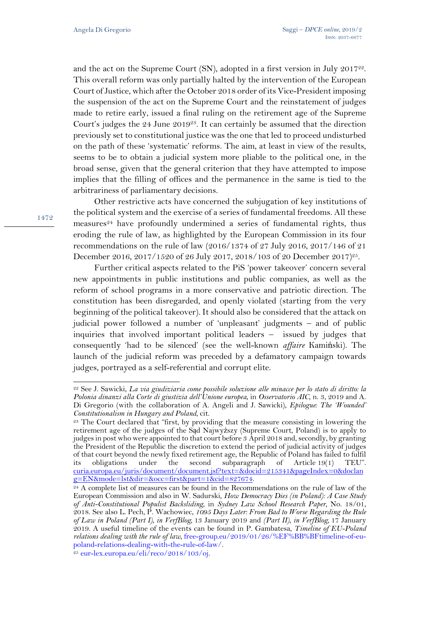and the act on the Supreme Court (SN), adopted in a first version in July 201722. This overall reform was only partially halted by the intervention of the European Court of Justice, which after the October 2018 order of its Vice-President imposing the suspension of the act on the Supreme Court and the reinstatement of judges made to retire early, issued a final ruling on the retirement age of the Supreme Court's judges the 24 June 201923. It can certainly be assumed that the direction previously set to constitutional justice was the one that led to proceed undisturbed on the path of these 'systematic' reforms. The aim, at least in view of the results, seems to be to obtain a judicial system more pliable to the political one, in the broad sense, given that the general criterion that they have attempted to impose implies that the filling of offices and the permanence in the same is tied to the arbitrariness of parliamentary decisions.

Other restrictive acts have concerned the subjugation of key institutions of the political system and the exercise of a series of fundamental freedoms. All these measures<sup>24</sup> have profoundly undermined a series of fundamental rights, thus eroding the rule of law, as highlighted by the European Commission in its four recommendations on the rule of law (2016/1374 of 27 July 2016, 2017/146 of 21 December 2016, 2017/1520 of 26 July 2017, 2018/103 of 20 December 2017)<sup>25</sup>.

Further critical aspects related to the PiS 'power takeover' concern several new appointments in public institutions and public companies, as well as the reform of school programs in a more conservative and patriotic direction. The constitution has been disregarded, and openly violated (starting from the very beginning of the political takeover). It should also be considered that the attack on judicial power followed a number of 'unpleasant' judgments – and of public inquiries that involved important political leaders – issued by judges that consequently 'had to be silenced' (see the well-known *affaire* Kamiński). The launch of the judicial reform was preceded by a defamatory campaign towards judges, portrayed as a self-referential and corrupt elite.

1472

<sup>22</sup> See J. Sawicki, *La via giudiziaria come possibile soluzione alle minacce per lo stato di diritto: la Polonia dinanzi alla Corte di giustizia dell'Unione europea*, in *Osservatorio AIC*, n. 3, 2019 and A. Di Gregorio (with the collaboration of A. Angeli and J. Sawicki), *Epilogue: The 'Wounded'* 

*Constitutionalism in Hungary and Poland*, cit.<br><sup>23</sup> The Court declared that "first, by providing that the measure consisting in lowering the retirement age of the judges of the Sąd Najwyższy (Supreme Court, Poland) is to apply to judges in post who were appointed to that court before 3 April 2018 and, secondly, by granting the President of the Republic the discretion to extend the period of judicial activity of judges of that court beyond the newly fixed retirement age, the Republic of Poland has failed to fulfil its obligations under the second subparagraph of Article 19(1) TEU". curia.europa.eu/juris/document/document.jsf?text=&docid=215341&pageIndex=0&doclan

 $\frac{24}{24}$  A complete list of measures can be found in the Recommendations on the rule of law of the European Commission and also in W. Sadurski, *How Democracy Dies (in Poland): A Case Study of Anti-Constitutional Populist Backsliding*, in *Sydney Law School Research Paper*, No. 18/01, 2018. See also L. Pech, P. Wachowiec, *1095 Days Later: From Bad to Worse Regarding the Rule of Law in Poland (Part I), in VerfBlog,* 13 January 2019 and *(Part II), in VerfBlog,* 17 January 2019. A useful timeline of the events can be found in P. Gambatesa, *Timeline of EU-Poland relations dealing with the rule of law*, free-group.eu/2019/01/26/%EF%BB%BFtimeline-of-eupoland-relations-dealing-with-the-rule-of-law/.  $^{25}$  eur-lex.europa.eu/eli/reco/2018/103/oj.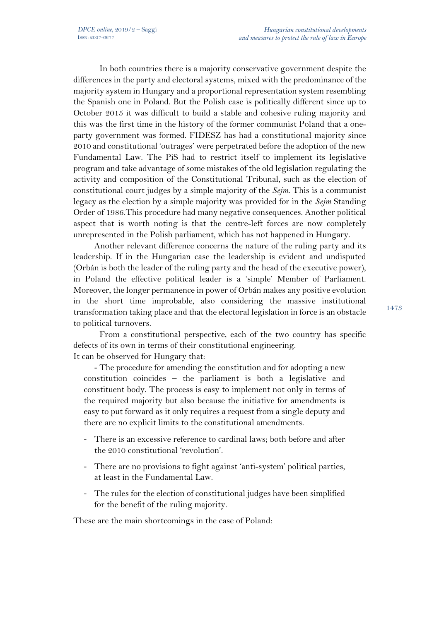In both countries there is a majority conservative government despite the differences in the party and electoral systems, mixed with the predominance of the majority system in Hungary and a proportional representation system resembling the Spanish one in Poland. But the Polish case is politically different since up to October 2015 it was difficult to build a stable and cohesive ruling majority and this was the first time in the history of the former communist Poland that a oneparty government was formed. FIDESZ has had a constitutional majority since 2010 and constitutional 'outrages' were perpetrated before the adoption of the new Fundamental Law. The PiS had to restrict itself to implement its legislative program and take advantage of some mistakes of the old legislation regulating the activity and composition of the Constitutional Tribunal, such as the election of constitutional court judges by a simple majority of the *Sejm*. This is a communist legacy as the election by a simple majority was provided for in the *Sejm* Standing Order of 1986.This procedure had many negative consequences. Another political aspect that is worth noting is that the centre-left forces are now completely unrepresented in the Polish parliament, which has not happened in Hungary.

Another relevant difference concerns the nature of the ruling party and its leadership. If in the Hungarian case the leadership is evident and undisputed (Orbán is both the leader of the ruling party and the head of the executive power), in Poland the effective political leader is a 'simple' Member of Parliament. Moreover, the longer permanence in power of Orbán makes any positive evolution in the short time improbable, also considering the massive institutional transformation taking place and that the electoral legislation in force is an obstacle to political turnovers.

From a constitutional perspective, each of the two country has specific defects of its own in terms of their constitutional engineering. It can be observed for Hungary that:

- The procedure for amending the constitution and for adopting a new constitution coincides – the parliament is both a legislative and constituent body. The process is easy to implement not only in terms of the required majority but also because the initiative for amendments is easy to put forward as it only requires a request from a single deputy and there are no explicit limits to the constitutional amendments.

- There is an excessive reference to cardinal laws; both before and after the 2010 constitutional 'revolution'.
- There are no provisions to fight against 'anti-system' political parties, at least in the Fundamental Law.
- The rules for the election of constitutional judges have been simplified for the benefit of the ruling majority.

These are the main shortcomings in the case of Poland: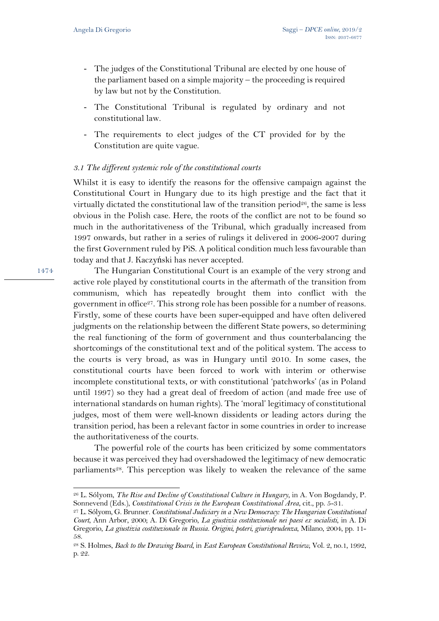- The judges of the Constitutional Tribunal are elected by one house of the parliament based on a simple majority – the proceeding is required by law but not by the Constitution.
- The Constitutional Tribunal is regulated by ordinary and not constitutional law.
- The requirements to elect judges of the CT provided for by the Constitution are quite vague.

## *3.1 The different systemic role of the constitutional courts*

Whilst it is easy to identify the reasons for the offensive campaign against the Constitutional Court in Hungary due to its high prestige and the fact that it virtually dictated the constitutional law of the transition period<sup>26</sup>, the same is less obvious in the Polish case. Here, the roots of the conflict are not to be found so much in the authoritativeness of the Tribunal, which gradually increased from 1997 onwards, but rather in a series of rulings it delivered in 2006-2007 during the first Government ruled by PiS. A political condition much less favourable than today and that J. Kaczyński has never accepted.

The Hungarian Constitutional Court is an example of the very strong and active role played by constitutional courts in the aftermath of the transition from communism, which has repeatedly brought them into conflict with the government in office<sup>27</sup>. This strong role has been possible for a number of reasons. Firstly, some of these courts have been super-equipped and have often delivered judgments on the relationship between the different State powers, so determining the real functioning of the form of government and thus counterbalancing the shortcomings of the constitutional text and of the political system. The access to the courts is very broad, as was in Hungary until 2010. In some cases, the constitutional courts have been forced to work with interim or otherwise incomplete constitutional texts, or with constitutional 'patchworks' (as in Poland until 1997) so they had a great deal of freedom of action (and made free use of international standards on human rights). The 'moral' legitimacy of constitutional judges, most of them were well-known dissidents or leading actors during the transition period, has been a relevant factor in some countries in order to increase the authoritativeness of the courts.

The powerful role of the courts has been criticized by some commentators because it was perceived they had overshadowed the legitimacy of new democratic parliaments<sup>28</sup>. This perception was likely to weaken the relevance of the same

1474

<sup>26</sup> L. Sólyom, *The Rise and Decline of Constitutional Culture in Hungary*, in A. Von Bogdandy, P. Sonnevend (Eds.), *Constitutional Crisis in the European Constitutional Area*, cit., pp. 5-31.

<sup>27</sup> L. Sólyom, G. Brunner. *Constitutional Judiciary in a New Democracy: The Hungarian Constitutional Court*, Ann Arbor, 2000; A. Di Gregorio, *La giustizia costituzionale nei paesi ex socialisti*, in A. Di Gregorio, *La giustizia costituzionale in Russia. Origini, poteri, giurisprudenza*, Milano, 2004, pp. 11- 58.

<sup>28</sup> S. Holmes, *Back to the Drawing Board*, in *East European Constitutional Review*, Vol. 2, no.1*,* 1992, p. 22.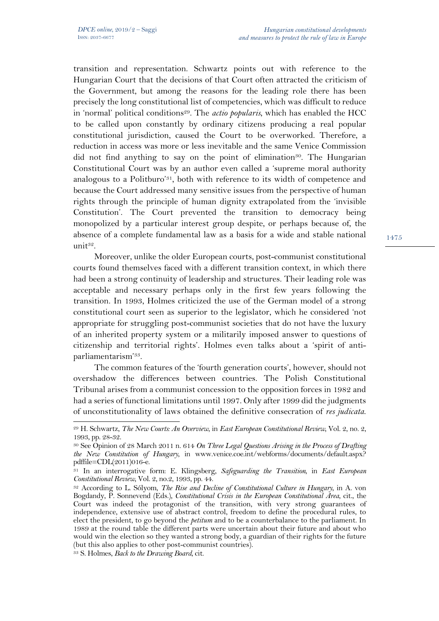transition and representation. Schwartz points out with reference to the Hungarian Court that the decisions of that Court often attracted the criticism of the Government, but among the reasons for the leading role there has been precisely the long constitutional list of competencies, which was difficult to reduce in 'normal' political conditions<sup>29</sup>. The *actio popularis*, which has enabled the HCC to be called upon constantly by ordinary citizens producing a real popular constitutional jurisdiction, caused the Court to be overworked. Therefore, a reduction in access was more or less inevitable and the same Venice Commission did not find anything to say on the point of elimination<sup>30</sup>. The Hungarian Constitutional Court was by an author even called a 'supreme moral authority analogous to a Politburo'31, both with reference to its width of competence and because the Court addressed many sensitive issues from the perspective of human rights through the principle of human dignity extrapolated from the 'invisible Constitution'. The Court prevented the transition to democracy being monopolized by a particular interest group despite, or perhaps because of, the absence of a complete fundamental law as a basis for a wide and stable national unit<sup>32</sup>.

Moreover, unlike the older European courts, post-communist constitutional courts found themselves faced with a different transition context, in which there had been a strong continuity of leadership and structures. Their leading role was acceptable and necessary perhaps only in the first few years following the transition. In 1993, Holmes criticized the use of the German model of a strong constitutional court seen as superior to the legislator, which he considered 'not appropriate for struggling post-communist societies that do not have the luxury of an inherited property system or a militarily imposed answer to questions of citizenship and territorial rights'. Holmes even talks about a 'spirit of antiparliamentarism'33.

The common features of the 'fourth generation courts', however, should not overshadow the differences between countries. The Polish Constitutional Tribunal arises from a communist concession to the opposition forces in 1982 and had a series of functional limitations until 1997. Only after 1999 did the judgments of unconstitutionality of laws obtained the definitive consecration of *res judicata*.

<sup>29</sup> H. Schwartz, *The New Courts: An Overview*, in *East European Constitutional Review*, Vol. 2, no. 2, 1993, pp. 28-32.

<sup>30</sup> See Opinion of 28 March 2011 n. 614 *On Three Legal Questions Arising in the Process of Drafting the New Constitution of Hungary*, in www.venice.coe.int/webforms/documents/default.aspx? pdffile=CDL(2011)016-e.

<sup>31</sup> In an interrogative form: E. Klingsberg, *Safeguarding the Transition*, in *East European Constitutional Review*, Vol. 2, no.2, 1993, pp. 44.<br><sup>32</sup> According to L. Sólyom, *The Rise and Decline of Constitutional Culture in Hungary*, in A. von

Bogdandy, P. Sonnevend (Eds.), *Constitutional Crisis in the European Constitutional Area*, cit., the Court was indeed the protagonist of the transition, with very strong guarantees of independence, extensive use of abstract control, freedom to define the procedural rules, to elect the president, to go beyond the *petitum* and to be a counterbalance to the parliament. In 1989 at the round table the different parts were uncertain about their future and about who would win the election so they wanted a strong body, a guardian of their rights for the future (but this also applies to other post-communist countries).

<sup>33</sup> S. Holmes, *Back to the Drawing Board*, cit.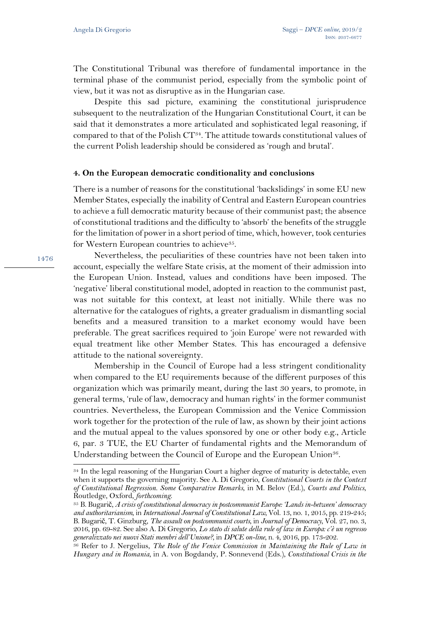The Constitutional Tribunal was therefore of fundamental importance in the terminal phase of the communist period, especially from the symbolic point of view, but it was not as disruptive as in the Hungarian case.

Despite this sad picture, examining the constitutional jurisprudence subsequent to the neutralization of the Hungarian Constitutional Court, it can be said that it demonstrates a more articulated and sophisticated legal reasoning, if compared to that of the Polish CT34. The attitude towards constitutional values of the current Polish leadership should be considered as 'rough and brutal'.

### **4. On the European democratic conditionality and conclusions**

There is a number of reasons for the constitutional 'backslidings' in some EU new Member States, especially the inability of Central and Eastern European countries to achieve a full democratic maturity because of their communist past; the absence of constitutional traditions and the difficulty to 'absorb' the benefits of the struggle for the limitation of power in a short period of time, which, however, took centuries for Western European countries to achieve<sup>35</sup>.

Nevertheless, the peculiarities of these countries have not been taken into account, especially the welfare State crisis, at the moment of their admission into the European Union. Instead, values and conditions have been imposed. The 'negative' liberal constitutional model, adopted in reaction to the communist past, was not suitable for this context, at least not initially. While there was no alternative for the catalogues of rights, a greater gradualism in dismantling social benefits and a measured transition to a market economy would have been preferable. The great sacrifices required to 'join Europe' were not rewarded with equal treatment like other Member States. This has encouraged a defensive attitude to the national sovereignty.

Membership in the Council of Europe had a less stringent conditionality when compared to the EU requirements because of the different purposes of this organization which was primarily meant, during the last 30 years, to promote, in general terms, 'rule of law, democracy and human rights' in the former communist countries. Nevertheless, the European Commission and the Venice Commission work together for the protection of the rule of law, as shown by their joint actions and the mutual appeal to the values sponsored by one or other body e.g., Article 6, par. 3 TUE, the EU Charter of fundamental rights and the Memorandum of Understanding between the Council of Europe and the European Union<sup>36</sup>.

<sup>34</sup> In the legal reasoning of the Hungarian Court a higher degree of maturity is detectable, even when it supports the governing majority. See A. Di Gregorio, *Constitutional Courts in the Context of Constitutional Regression. Some Comparative Remarks*, in M. Belov (Ed.), *Courts and Politics*, Routledge, Oxford, *forthcoming*.

<sup>35</sup> B. Bugarič, *A crisis of constitutional democracy in postcommunist Europe: 'Lands in-between' democracy and authoritarianism*, in *International Journal of Constitutional Law,* Vol. 13, no. 1, 2015, pp. 219-245; B. Bugarič, T. Ginzburg, *The assault on postcommunist courts*, in *Journal of Democracy*, Vol. 27, no. 3, 2016, pp. 69-82. See also A. Di Gregorio, *Lo stato di salute della rule of law in Europa: c'è un regresso generalizzato nei nuovi Stati membri dell'Unione?*, in *DPCE on-line*, n. 4, 2016, pp. 173-202.

<sup>36</sup> Refer to J. Nergelius, *The Role of the Venice Commission in Maintaining the Rule of Law in Hungary and in Romania*, in A. von Bogdandy, P. Sonnevend (Eds.), *Constitutional Crisis in the*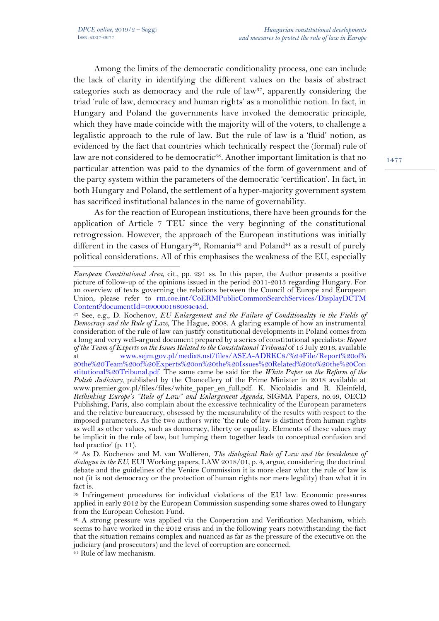l

Among the limits of the democratic conditionality process, one can include the lack of clarity in identifying the different values on the basis of abstract categories such as democracy and the rule of law<sup>37</sup>, apparently considering the triad 'rule of law, democracy and human rights' as a monolithic notion. In fact, in Hungary and Poland the governments have invoked the democratic principle, which they have made coincide with the majority will of the voters, to challenge a legalistic approach to the rule of law. But the rule of law is a 'fluid' notion, as evidenced by the fact that countries which technically respect the (formal) rule of law are not considered to be democratic<sup>38</sup>. Another important limitation is that no particular attention was paid to the dynamics of the form of government and of the party system within the parameters of the democratic 'certification'. In fact, in both Hungary and Poland, the settlement of a hyper-majority government system has sacrificed institutional balances in the name of governability.

As for the reaction of European institutions, there have been grounds for the application of Article 7 TEU since the very beginning of the constitutional retrogression. However, the approach of the European institutions was initially different in the cases of Hungary<sup>39</sup>, Romania<sup>40</sup> and Poland<sup>41</sup> as a result of purely political considerations. All of this emphasises the weakness of the EU, especially

*European Constitutional Area*, cit., pp. 291 ss. In this paper, the Author presents a positive picture of follow-up of the opinions issued in the period 2011-2013 regarding Hungary. For an overview of texts governing the relations between the Council of Europe and European Union, please refer to rm.coe.int/CoERMPublicCommonSearchServices/DisplayDCTM Content?documentId=090000168064c45d.

<sup>37</sup> See, e.g., D. Kochenov, *EU Enlargement and the Failure of Conditionality in the Fields of Democracy and the Rule of Law*, The Hague, 2008. A glaring example of how an instrumental consideration of the rule of law can justify constitutional developments in Poland comes from a long and very well-argued document prepared by a series of constitutional specialists: *Report of the Team of Experts on the Issues Related to the Constitutional Tribunal* of 15 July 2016, available at www.sejm.gov.pl/media8.nsf/files/ASEA-ADRKC8/%24File/Report%20of% 20the%20Team%20of%20Experts%20on%20the%20Issues%20Related%20to%20the%20Con stitutional%20Tribunal.pdf. The same came be said for the *White Paper on the Reform of the Polish Judiciary*, published by the Chancellery of the Prime Minister in 2018 available at www.premier.gov.pl/files/files/white\_paper\_en\_full.pdf. K. Nicolaidis and R. Kleinfeld, *Rethinking Europe's "Rule of Law" and Enlargement Agenda*, SIGMA Papers, no.49, OECD Publishing, Paris, also complain about the excessive technicality of the European parameters and the relative bureaucracy, obsessed by the measurability of the results with respect to the imposed parameters. As the two authors write 'the rule of law is distinct from human rights as well as other values, such as democracy, liberty or equality. Elements of these values may be implicit in the rule of law, but lumping them together leads to conceptual confusion and bad practice' (p. 11).

<sup>38</sup> As D. Kochenov and M. van Wolferen, *The dialogical Rule of Law and the breakdown of dialogue in the EU*, EUI Working papers, LAW 2018/01, p. 4, argue, considering the doctrinal debate and the guidelines of the Venice Commission it is more clear what the rule of law is not (it is not democracy or the protection of human rights nor mere legality) than what it in fact is.

<sup>39</sup> Infringement procedures for individual violations of the EU law. Economic pressures applied in early 2012 by the European Commission suspending some shares owed to Hungary from the European Cohesion Fund.

<sup>40</sup> A strong pressure was applied via the Cooperation and Verification Mechanism, which seems to have worked in the 2012 crisis and in the following years notwithstanding the fact that the situation remains complex and nuanced as far as the pressure of the executive on the judiciary (and prosecutors) and the level of corruption are concerned.

<sup>41</sup> Rule of law mechanism.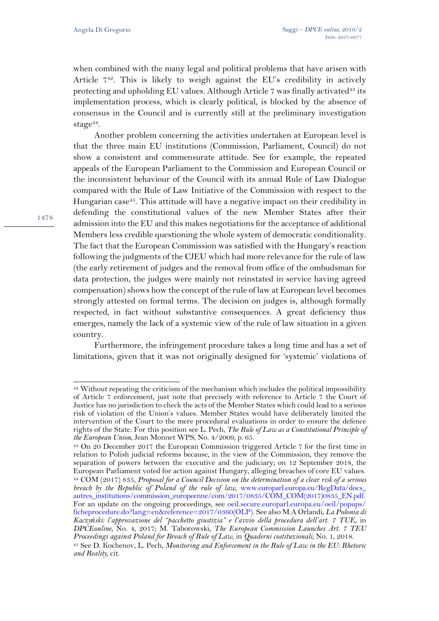when combined with the many legal and political problems that have arisen with Article 742. This is likely to weigh against the EU's credibility in actively protecting and upholding EU values. Although Article 7 was finally activated<sup>43</sup> its implementation process, which is clearly political, is blocked by the absence of consensus in the Council and is currently still at the preliminary investigation stage<sup>44</sup>.

Another problem concerning the activities undertaken at European level is that the three main EU institutions (Commission, Parliament, Council) do not show a consistent and commensurate attitude. See for example, the repeated appeals of the European Parliament to the Commission and European Council or the inconsistent behaviour of the Council with its annual Rule of Law Dialogue compared with the Rule of Law Initiative of the Commission with respect to the Hungarian case<sup>45</sup>. This attitude will have a negative impact on their credibility in defending the constitutional values of the new Member States after their admission into the EU and this makes negotiations for the acceptance of additional Members less credible questioning the whole system of democratic conditionality. The fact that the European Commission was satisfied with the Hungary's reaction following the judgments of the CJEU which had more relevance for the rule of law (the early retirement of judges and the removal from office of the ombudsman for data protection, the judges were mainly not reinstated in service having agreed compensation) shows how the concept of the rule of law at European level becomes strongly attested on formal terms. The decision on judges is, although formally respected, in fact without substantive consequences. A great deficiency thus emerges, namely the lack of a systemic view of the rule of law situation in a given country.

Furthermore, the infringement procedure takes a long time and has a set of limitations, given that it was not originally designed for 'systemic' violations of

 $42$  Without repeating the criticism of the mechanism which includes the political impossibility of Article 7 enforcement, just note that precisely with reference to Article 7 the Court of Justice has no jurisdiction to check the acts of the Member States which could lead to a serious risk of violation of the Union's values. Member States would have deliberately limited the intervention of the Court to the mere procedural evaluations in order to ensure the defence rights of the State. For this position see L. Pech, *The Rule of Law as a Constitutional Principle of the European Union*, Jean Monnet WPS, No. 4/2009, p. 65.

<sup>43</sup> On 20 December 2017 the European Commission triggered Article 7 for the first time in relation to Polish judicial reforms because, in the view of the Commission, they remove the separation of powers between the executive and the judiciary; on 12 September 2018, the European Parliament voted for action against Hungary, alleging breaches of core EU values. <sup>44</sup> COM (2017) 835, *Proposal for a Council Decision on the determination of a clear risk of a serious breach by the Republic of Poland of the rule of law*, www.europarl.europa.eu/RegData/docs\_ autres\_institutions/commission\_europeenne/com/2017/0835/COM\_COM(2017)0835\_EN.pdf. For an update on the ongoing proceedings, see oeil.secure.europarl.europa.eu/oeil/popups/ ficheprocedure.do?lang=en&reference=2017/0360(OLP). See also M.A Orlandi, *La Polonia di Kaczyński: l'approvazione del "pacchetto giustizia" e l'avvio della procedura dell'art. 7 TUE*, in *DPCEonline*, No. 4, 2017; M. Taborowski, *The European Commission Launches Art. 7 TEU Proceedings against Poland for Breach of Rule of Law*, in *Quaderni costituzionali*, No. 1, 2018.

<sup>45</sup> See D. Kochenov, L. Pech, *Monitoring and Enforcement in the Rule of Law in the EU: Rhetoric and Reality,* cit.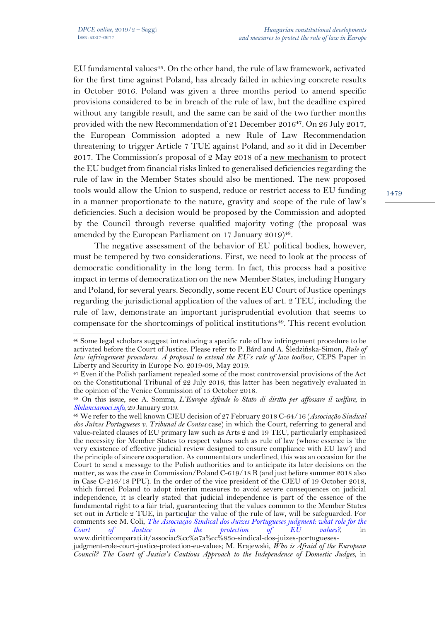$\overline{a}$ 

EU fundamental values<sup>46</sup>. On the other hand, the rule of law framework, activated for the first time against Poland, has already failed in achieving concrete results in October 2016. Poland was given a three months period to amend specific provisions considered to be in breach of the rule of law, but the deadline expired without any tangible result, and the same can be said of the two further months provided with the new Recommendation of 21 December 201647. On 26 July 2017, the European Commission adopted a new Rule of Law Recommendation threatening to trigger Article 7 TUE against Poland, and so it did in December 2017. The Commission's proposal of 2 May 2018 of a new mechanism to protect the EU budget from financial risks linked to generalised deficiencies regarding the rule of law in the Member States should also be mentioned. The new proposed tools would allow the Union to suspend, reduce or restrict access to EU funding in a manner proportionate to the nature, gravity and scope of the rule of law's deficiencies. Such a decision would be proposed by the Commission and adopted by the Council through reverse qualified majority voting (the proposal was amended by the European Parliament on 17 January 2019)<sup>48</sup>.

The negative assessment of the behavior of EU political bodies, however, must be tempered by two considerations. First, we need to look at the process of democratic conditionality in the long term. In fact, this process had a positive impact in terms of democratization on the new Member States, including Hungary and Poland, for several years. Secondly, some recent EU Court of Justice openings regarding the jurisdictional application of the values of art. 2 TEU, including the rule of law, demonstrate an important jurisprudential evolution that seems to compensate for the shortcomings of political institutions<sup>49</sup>. This recent evolution

<sup>46</sup> Some legal scholars suggest introducing a specific rule of law infringement procedure to be activated before the Court of Justice. Please refer to P. Bárd and A. Śledzińska-Simon, *Rule of law infringement procedures. A proposal to extend the EU's rule of law toolbox*, CEPS Paper in Liberty and Security in Europe No. 2019-09, May 2019.

<sup>&</sup>lt;sup>47</sup> Even if the Polish parliament repealed some of the most controversial provisions of the Act on the Constitutional Tribunal of 22 July 2016, this latter has been negatively evaluated in the opinion of the Venice Commission of 15 October 2018.

<sup>48</sup> On this issue, see A. Somma, *L'Europa difende lo Stato di diritto per affossare il welfare*, in *Sbilanciamoci.info,* 29 January 2019.

<sup>49</sup> We refer to the well known CJEU decision of 27 February 2018 C-64/16 (*Associação Sindical dos Juízes Portugueses v. Tribunal de Contas* case) in which the Court, referring to general and value-related clauses of EU primary law such as Arts 2 and 19 TEU, particularly emphasized the necessity for Member States to respect values such as rule of law (whose essence is 'the very existence of effective judicial review designed to ensure compliance with EU law') and the principle of sincere cooperation. As commentators underlined, this was an occasion for the Court to send a message to the Polish authorities and to anticipate its later decisions on the matter, as was the case in Commission/Poland C-619/18 R (and just before summer 2018 also in Case C-216/18 PPU). In the order of the vice president of the CJEU of 19 October 2018, which forced Poland to adopt interim measures to avoid severe consequences on judicial independence, it is clearly stated that judicial independence is part of the essence of the fundamental right to a fair trial, guaranteeing that the values common to the Member States set out in Article 2 TUE, in particular the value of the rule of law, will be safeguarded. For comments see M. Coli, *The Associação Sindical dos Juízes Portugueses judgment: what role for the Court of Justice in the protection of EU values?*, in www.diritticomparati.it/associac%cc%a7a%cc%83o-sindical-dos-juizes-portugueses-

judgment-role-court-justice-protection-eu-values; M. Krajewski, *Who is Afraid of the European Council? The Court of Justice's Cautious Approach to the Independence of Domestic Judges*, in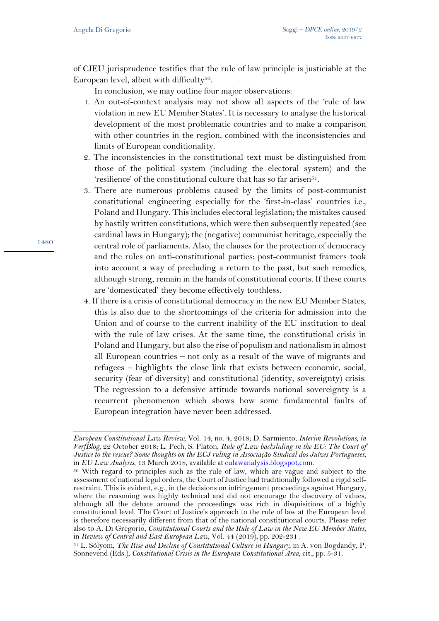of CJEU jurisprudence testifies that the rule of law principle is justiciable at the European level, albeit with difficulty<sup>50</sup>.

In conclusion, we may outline four major observations:

- 1. An out-of-context analysis may not show all aspects of the 'rule of law violation in new EU Member States'. It is necessary to analyse the historical development of the most problematic countries and to make a comparison with other countries in the region, combined with the inconsistencies and limits of European conditionality.
- 2. The inconsistencies in the constitutional text must be distinguished from those of the political system (including the electoral system) and the 'resilience' of the constitutional culture that has so far arisen $51$ .
- 3. There are numerous problems caused by the limits of post-communist constitutional engineering especially for the 'first-in-class' countries i.e., Poland and Hungary. This includes electoral legislation; the mistakes caused by hastily written constitutions, which were then subsequently repeated (see cardinal laws in Hungary); the (negative) communist heritage, especially the central role of parliaments. Also, the clauses for the protection of democracy and the rules on anti-constitutional parties: post-communist framers took into account a way of precluding a return to the past, but such remedies, although strong, remain in the hands of constitutional courts. If these courts are 'domesticated' they become effectively toothless.
- 4. If there is a crisis of constitutional democracy in the new EU Member States, this is also due to the shortcomings of the criteria for admission into the Union and of course to the current inability of the EU institution to deal with the rule of law crises. At the same time, the constitutional crisis in Poland and Hungary, but also the rise of populism and nationalism in almost all European countries – not only as a result of the wave of migrants and refugees – highlights the close link that exists between economic, social, security (fear of diversity) and constitutional (identity, sovereignty) crisis. The regression to a defensive attitude towards national sovereignty is a recurrent phenomenon which shows how some fundamental faults of European integration have never been addressed.

1480

l

*European Constitutional Law Review*, Vol. 14, no. 4, 2018; D. Sarmiento, *Interim Revolutions, in VerfBlog,* 22 October 2018; L. Pech, S. Platon, *Rule of Law backsliding in the EU: The Court of Justice to the rescue? Some thoughts on the ECJ ruling in Associação Sindical dos Juízes Portugueses*, in *EU Law Analysis*, 13 March 2018, available at eulawanalysis.blogspot.com. 50 With regard to principles such as the rule of law, which are vague and subject to the

assessment of national legal orders, the Court of Justice had traditionally followed a rigid selfrestraint. This is evident, e.g., in the decisions on infringement proceedings against Hungary, where the reasoning was highly technical and did not encourage the discovery of values, although all the debate around the proceedings was rich in disquisitions of a highly constitutional level. The Court of Justice's approach to the rule of law at the European level is therefore necessarily different from that of the national constitutional courts. Please refer also to A. Di Gregorio, *Constitutional Courts and the Rule of Law in the New EU Member States*, in *Review of Central and East European Law*, Vol. 44 (2019), pp. 202-231 .

<sup>51</sup> L. Sólyom, *The Rise and Decline of Constitutional Culture in Hungary*, in A. von Bogdandy, P. Sonnevend (Eds.), *Constitutional Crisis in the European Constitutional Area*, cit., pp. 5-31.